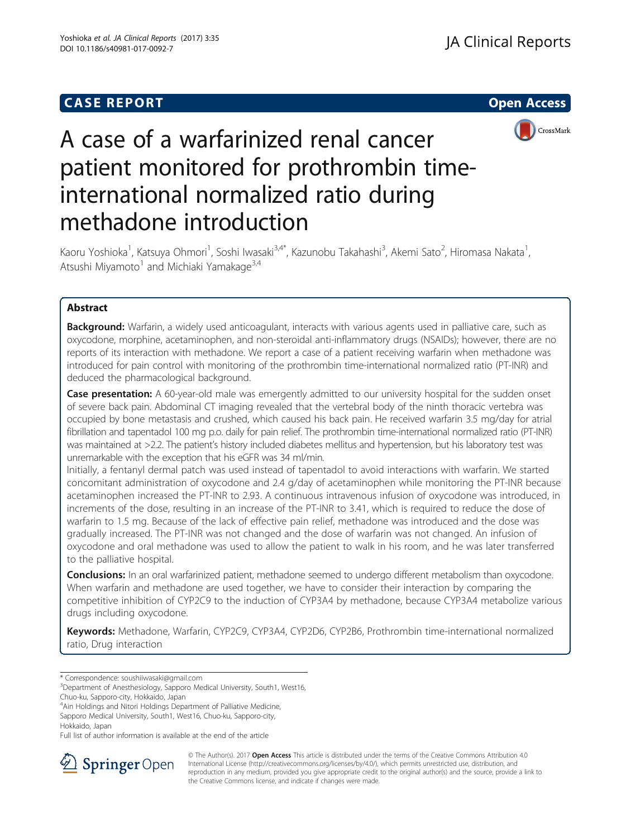# **CASE REPORT And SERVICE SERVICE SERVICE SERVICE SERVICE SERVICE SERVICE SERVICE SERVICE SERVICE SERVICE SERVICE**



# A case of a warfarinized renal cancer patient monitored for prothrombin timeinternational normalized ratio during methadone introduction

Kaoru Yoshioka<sup>1</sup>, Katsuya Ohmori<sup>1</sup>, Soshi Iwasaki<sup>3,4\*</sup>, Kazunobu Takahashi<sup>3</sup>, Akemi Sato<sup>2</sup>, Hiromasa Nakata<sup>1</sup> , Atsushi Miyamoto<sup>1</sup> and Michiaki Yamakage<sup>3,4</sup>

# Abstract

Background: Warfarin, a widely used anticoagulant, interacts with various agents used in palliative care, such as oxycodone, morphine, acetaminophen, and non-steroidal anti-inflammatory drugs (NSAIDs); however, there are no reports of its interaction with methadone. We report a case of a patient receiving warfarin when methadone was introduced for pain control with monitoring of the prothrombin time-international normalized ratio (PT-INR) and deduced the pharmacological background.

Case presentation: A 60-year-old male was emergently admitted to our university hospital for the sudden onset of severe back pain. Abdominal CT imaging revealed that the vertebral body of the ninth thoracic vertebra was occupied by bone metastasis and crushed, which caused his back pain. He received warfarin 3.5 mg/day for atrial fibrillation and tapentadol 100 mg p.o. daily for pain relief. The prothrombin time-international normalized ratio (PT-INR) was maintained at >2.2. The patient's history included diabetes mellitus and hypertension, but his laboratory test was unremarkable with the exception that his eGFR was 34 ml/min.

Initially, a fentanyl dermal patch was used instead of tapentadol to avoid interactions with warfarin. We started concomitant administration of oxycodone and 2.4 g/day of acetaminophen while monitoring the PT-INR because acetaminophen increased the PT-INR to 2.93. A continuous intravenous infusion of oxycodone was introduced, in increments of the dose, resulting in an increase of the PT-INR to 3.41, which is required to reduce the dose of warfarin to 1.5 mg. Because of the lack of effective pain relief, methadone was introduced and the dose was gradually increased. The PT-INR was not changed and the dose of warfarin was not changed. An infusion of oxycodone and oral methadone was used to allow the patient to walk in his room, and he was later transferred to the palliative hospital.

**Conclusions:** In an oral warfarinized patient, methadone seemed to undergo different metabolism than oxycodone. When warfarin and methadone are used together, we have to consider their interaction by comparing the competitive inhibition of CYP2C9 to the induction of CYP3A4 by methadone, because CYP3A4 metabolize various drugs including oxycodone.

Keywords: Methadone, Warfarin, CYP2C9, CYP3A4, CYP2D6, CYP2B6, Prothrombin time-international normalized ratio, Drug interaction

\* Correspondence: [soushiiwasaki@gmail.com](mailto:soushiiwasaki@gmail.com) <sup>3</sup>

<sup>3</sup>Department of Anesthesiology, Sapporo Medical University, South1, West16,

Chuo-ku, Sapporo-city, Hokkaido, Japan

4 Ain Holdings and Nitori Holdings Department of Palliative Medicine,

Sapporo Medical University, South1, West16, Chuo-ku, Sapporo-city, Hokkaido, Japan

Full list of author information is available at the end of the article



© The Author(s). 2017 **Open Access** This article is distributed under the terms of the Creative Commons Attribution 4.0 International License ([http://creativecommons.org/licenses/by/4.0/\)](http://creativecommons.org/licenses/by/4.0/), which permits unrestricted use, distribution, and reproduction in any medium, provided you give appropriate credit to the original author(s) and the source, provide a link to the Creative Commons license, and indicate if changes were made.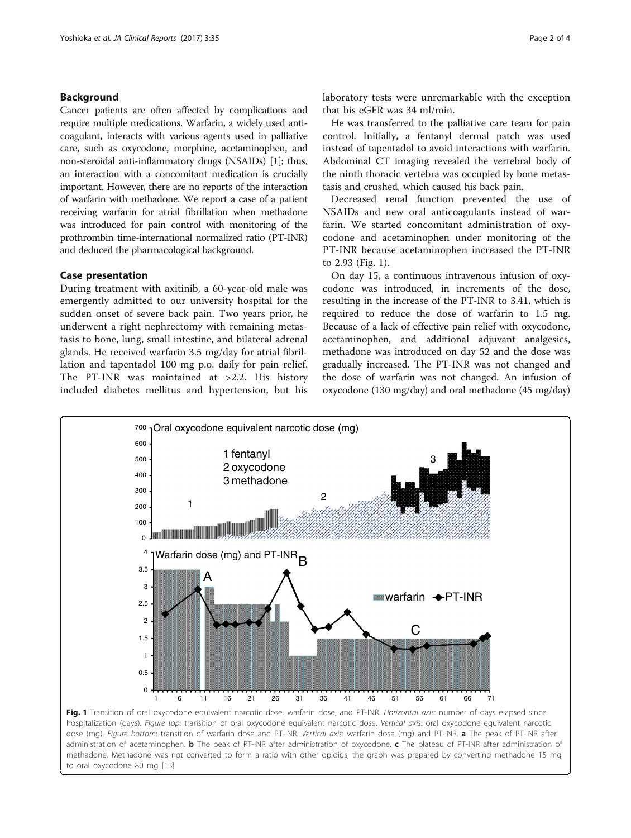## Background

Cancer patients are often affected by complications and require multiple medications. Warfarin, a widely used anticoagulant, interacts with various agents used in palliative care, such as oxycodone, morphine, acetaminophen, and non-steroidal anti-inflammatory drugs (NSAIDs) [\[1\]](#page-3-0); thus, an interaction with a concomitant medication is crucially important. However, there are no reports of the interaction of warfarin with methadone. We report a case of a patient receiving warfarin for atrial fibrillation when methadone was introduced for pain control with monitoring of the prothrombin time-international normalized ratio (PT-INR) and deduced the pharmacological background.

## Case presentation

During treatment with axitinib, a 60-year-old male was emergently admitted to our university hospital for the sudden onset of severe back pain. Two years prior, he underwent a right nephrectomy with remaining metastasis to bone, lung, small intestine, and bilateral adrenal glands. He received warfarin 3.5 mg/day for atrial fibrillation and tapentadol 100 mg p.o. daily for pain relief. The PT-INR was maintained at >2.2. His history included diabetes mellitus and hypertension, but his laboratory tests were unremarkable with the exception that his eGFR was 34 ml/min.

He was transferred to the palliative care team for pain control. Initially, a fentanyl dermal patch was used instead of tapentadol to avoid interactions with warfarin. Abdominal CT imaging revealed the vertebral body of the ninth thoracic vertebra was occupied by bone metastasis and crushed, which caused his back pain.

Decreased renal function prevented the use of NSAIDs and new oral anticoagulants instead of warfarin. We started concomitant administration of oxycodone and acetaminophen under monitoring of the PT-INR because acetaminophen increased the PT-INR to 2.93 (Fig. 1).

On day 15, a continuous intravenous infusion of oxycodone was introduced, in increments of the dose, resulting in the increase of the PT-INR to 3.41, which is required to reduce the dose of warfarin to 1.5 mg. Because of a lack of effective pain relief with oxycodone, acetaminophen, and additional adjuvant analgesics, methadone was introduced on day 52 and the dose was gradually increased. The PT-INR was not changed and the dose of warfarin was not changed. An infusion of oxycodone (130 mg/day) and oral methadone (45 mg/day)



hospitalization (days). Figure top: transition of oral oxycodone equivalent narcotic dose. Vertical axis: oral oxycodone equivalent narcotic dose (mg). Figure bottom: transition of warfarin dose and PT-INR. Vertical axis: warfarin dose (mg) and PT-INR. a The peak of PT-INR after administration of acetaminophen. **b** The peak of PT-INR after administration of oxycodone. c The plateau of PT-INR after administration of methadone. Methadone was not converted to form a ratio with other opioids; the graph was prepared by converting methadone 15 mg to oral oxycodone 80 mg [[13\]](#page-3-0)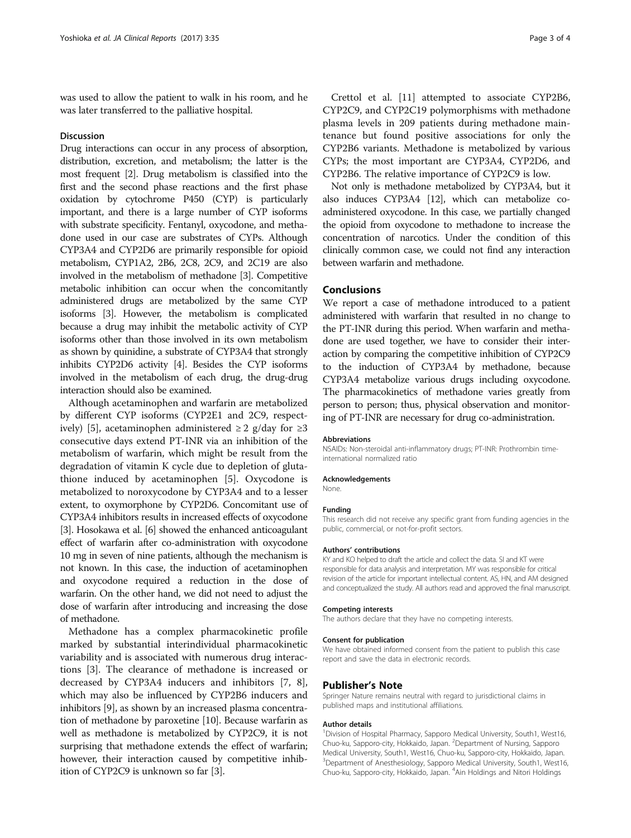was used to allow the patient to walk in his room, and he was later transferred to the palliative hospital.

#### **Discussion**

Drug interactions can occur in any process of absorption, distribution, excretion, and metabolism; the latter is the most frequent [[2](#page-3-0)]. Drug metabolism is classified into the first and the second phase reactions and the first phase oxidation by cytochrome P450 (CYP) is particularly important, and there is a large number of CYP isoforms with substrate specificity. Fentanyl, oxycodone, and methadone used in our case are substrates of CYPs. Although CYP3A4 and CYP2D6 are primarily responsible for opioid metabolism, CYP1A2, 2B6, 2C8, 2C9, and 2C19 are also involved in the metabolism of methadone [\[3](#page-3-0)]. Competitive metabolic inhibition can occur when the concomitantly administered drugs are metabolized by the same CYP isoforms [[3\]](#page-3-0). However, the metabolism is complicated because a drug may inhibit the metabolic activity of CYP isoforms other than those involved in its own metabolism as shown by quinidine, a substrate of CYP3A4 that strongly inhibits CYP2D6 activity [\[4](#page-3-0)]. Besides the CYP isoforms involved in the metabolism of each drug, the drug-drug interaction should also be examined.

Although acetaminophen and warfarin are metabolized by different CYP isoforms (CYP2E1 and 2C9, respect-ively) [\[5](#page-3-0)], acetaminophen administered  $\geq 2$  g/day for  $\geq 3$ consecutive days extend PT-INR via an inhibition of the metabolism of warfarin, which might be result from the degradation of vitamin K cycle due to depletion of glutathione induced by acetaminophen [\[5\]](#page-3-0). Oxycodone is metabolized to noroxycodone by CYP3A4 and to a lesser extent, to oxymorphone by CYP2D6. Concomitant use of CYP3A4 inhibitors results in increased effects of oxycodone [[3](#page-3-0)]. Hosokawa et al. [[6](#page-3-0)] showed the enhanced anticoagulant effect of warfarin after co-administration with oxycodone 10 mg in seven of nine patients, although the mechanism is not known. In this case, the induction of acetaminophen and oxycodone required a reduction in the dose of warfarin. On the other hand, we did not need to adjust the dose of warfarin after introducing and increasing the dose of methadone.

Methadone has a complex pharmacokinetic profile marked by substantial interindividual pharmacokinetic variability and is associated with numerous drug interactions [[3\]](#page-3-0). The clearance of methadone is increased or decreased by CYP3A4 inducers and inhibitors [[7, 8](#page-3-0)], which may also be influenced by CYP2B6 inducers and inhibitors [[9\]](#page-3-0), as shown by an increased plasma concentration of methadone by paroxetine [\[10\]](#page-3-0). Because warfarin as well as methadone is metabolized by CYP2C9, it is not surprising that methadone extends the effect of warfarin; however, their interaction caused by competitive inhibition of CYP2C9 is unknown so far [\[3](#page-3-0)].

Crettol et al. [\[11](#page-3-0)] attempted to associate CYP2B6, CYP2C9, and CYP2C19 polymorphisms with methadone plasma levels in 209 patients during methadone maintenance but found positive associations for only the CYP2B6 variants. Methadone is metabolized by various CYPs; the most important are CYP3A4, CYP2D6, and CYP2B6. The relative importance of CYP2C9 is low.

Not only is methadone metabolized by CYP3A4, but it also induces CYP3A4 [\[12\]](#page-3-0), which can metabolize coadministered oxycodone. In this case, we partially changed the opioid from oxycodone to methadone to increase the concentration of narcotics. Under the condition of this clinically common case, we could not find any interaction between warfarin and methadone.

## Conclusions

We report a case of methadone introduced to a patient administered with warfarin that resulted in no change to the PT-INR during this period. When warfarin and methadone are used together, we have to consider their interaction by comparing the competitive inhibition of CYP2C9 to the induction of CYP3A4 by methadone, because CYP3A4 metabolize various drugs including oxycodone. The pharmacokinetics of methadone varies greatly from person to person; thus, physical observation and monitoring of PT-INR are necessary for drug co-administration.

#### Abbreviations

NSAIDs: Non-steroidal anti-inflammatory drugs; PT-INR: Prothrombin timeinternational normalized ratio

#### Acknowledgements

None.

#### Funding

This research did not receive any specific grant from funding agencies in the public, commercial, or not-for-profit sectors.

#### Authors' contributions

KY and KO helped to draft the article and collect the data. SI and KT were responsible for data analysis and interpretation. MY was responsible for critical revision of the article for important intellectual content. AS, HN, and AM designed and conceptualized the study. All authors read and approved the final manuscript.

#### Competing interests

The authors declare that they have no competing interests.

#### Consent for publication

We have obtained informed consent from the patient to publish this case report and save the data in electronic records.

#### Publisher's Note

Springer Nature remains neutral with regard to jurisdictional claims in published maps and institutional affiliations.

#### Author details

<sup>1</sup> Division of Hospital Pharmacy, Sapporo Medical University, South1, West16 Chuo-ku, Sapporo-city, Hokkaido, Japan. <sup>2</sup> Department of Nursing, Sapporo Medical University, South1, West16, Chuo-ku, Sapporo-city, Hokkaido, Japan. <sup>3</sup>Department of Anesthesiology, Sapporo Medical University, South1, West16 Chuo-ku, Sapporo-city, Hokkaido, Japan. <sup>4</sup> Ain Holdings and Nitori Holdings